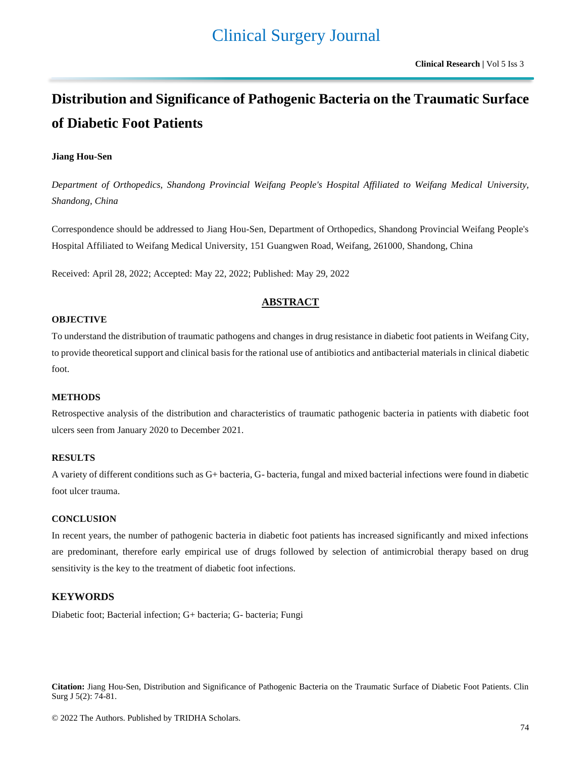# Clinical Surgery Journal

# **Distribution and Significance of Pathogenic Bacteria on the Traumatic Surface of Diabetic Foot Patients**

## **Jiang Hou-Sen**

*Department of Orthopedics, Shandong Provincial Weifang People's Hospital Affiliated to Weifang Medical University, Shandong, China*

Correspondence should be addressed to Jiang Hou-Sen, Department of Orthopedics, Shandong Provincial Weifang People's Hospital Affiliated to Weifang Medical University, 151 Guangwen Road, Weifang, 261000, Shandong, China

Received: April 28, 2022; Accepted: May 22, 2022; Published: May 29, 2022

## **ABSTRACT**

#### **OBJECTIVE**

To understand the distribution of traumatic pathogens and changes in drug resistance in diabetic foot patients in Weifang City, to provide theoretical support and clinical basis for the rational use of antibiotics and antibacterial materials in clinical diabetic foot.

## **METHODS**

Retrospective analysis of the distribution and characteristics of traumatic pathogenic bacteria in patients with diabetic foot ulcers seen from January 2020 to December 2021.

### **RESULTS**

A variety of different conditions such as G+ bacteria, G- bacteria, fungal and mixed bacterial infections were found in diabetic foot ulcer trauma.

#### **CONCLUSION**

In recent years, the number of pathogenic bacteria in diabetic foot patients has increased significantly and mixed infections are predominant, therefore early empirical use of drugs followed by selection of antimicrobial therapy based on drug sensitivity is the key to the treatment of diabetic foot infections.

## **KEYWORDS**

Diabetic foot; Bacterial infection; G+ bacteria; G- bacteria; Fungi

**Citation:** Jiang Hou-Sen, Distribution and Significance of Pathogenic Bacteria on the Traumatic Surface of Diabetic Foot Patients. Clin Surg J 5(2): 74-81.

© 2022 The Authors. Published by TRIDHA Scholars.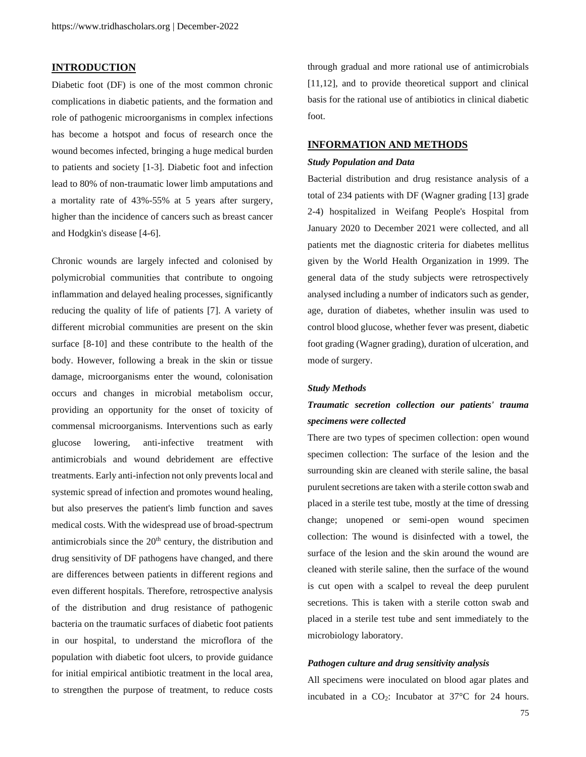## **INTRODUCTION**

Diabetic foot (DF) is one of the most common chronic complications in diabetic patients, and the formation and role of pathogenic microorganisms in complex infections has become a hotspot and focus of research once the wound becomes infected, bringing a huge medical burden to patients and society [1-3]. Diabetic foot and infection lead to 80% of non-traumatic lower limb amputations and a mortality rate of 43%-55% at 5 years after surgery, higher than the incidence of cancers such as breast cancer and Hodgkin's disease [4-6].

Chronic wounds are largely infected and colonised by polymicrobial communities that contribute to ongoing inflammation and delayed healing processes, significantly reducing the quality of life of patients [7]. A variety of different microbial communities are present on the skin surface [8-10] and these contribute to the health of the body. However, following a break in the skin or tissue damage, microorganisms enter the wound, colonisation occurs and changes in microbial metabolism occur, providing an opportunity for the onset of toxicity of commensal microorganisms. Interventions such as early glucose lowering, anti-infective treatment with antimicrobials and wound debridement are effective treatments. Early anti-infection not only prevents local and systemic spread of infection and promotes wound healing, but also preserves the patient's limb function and saves medical costs. With the widespread use of broad-spectrum antimicrobials since the  $20<sup>th</sup>$  century, the distribution and drug sensitivity of DF pathogens have changed, and there are differences between patients in different regions and even different hospitals. Therefore, retrospective analysis of the distribution and drug resistance of pathogenic bacteria on the traumatic surfaces of diabetic foot patients in our hospital, to understand the microflora of the population with diabetic foot ulcers, to provide guidance for initial empirical antibiotic treatment in the local area, to strengthen the purpose of treatment, to reduce costs

through gradual and more rational use of antimicrobials [11,12], and to provide theoretical support and clinical basis for the rational use of antibiotics in clinical diabetic foot.

#### **INFORMATION AND METHODS**

#### *Study Population and Data*

Bacterial distribution and drug resistance analysis of a total of 234 patients with DF (Wagner grading [13] grade 2-4) hospitalized in Weifang People's Hospital from January 2020 to December 2021 were collected, and all patients met the diagnostic criteria for diabetes mellitus given by the World Health Organization in 1999. The general data of the study subjects were retrospectively analysed including a number of indicators such as gender, age, duration of diabetes, whether insulin was used to control blood glucose, whether fever was present, diabetic foot grading (Wagner grading), duration of ulceration, and mode of surgery.

#### *Study Methods*

## *Traumatic secretion collection our patients' trauma specimens were collected*

There are two types of specimen collection: open wound specimen collection: The surface of the lesion and the surrounding skin are cleaned with sterile saline, the basal purulent secretions are taken with a sterile cotton swab and placed in a sterile test tube, mostly at the time of dressing change; unopened or semi-open wound specimen collection: The wound is disinfected with a towel, the surface of the lesion and the skin around the wound are cleaned with sterile saline, then the surface of the wound is cut open with a scalpel to reveal the deep purulent secretions. This is taken with a sterile cotton swab and placed in a sterile test tube and sent immediately to the microbiology laboratory.

#### *Pathogen culture and drug sensitivity analysis*

All specimens were inoculated on blood agar plates and incubated in a  $CO<sub>2</sub>$ : Incubator at 37 $\degree$ C for 24 hours.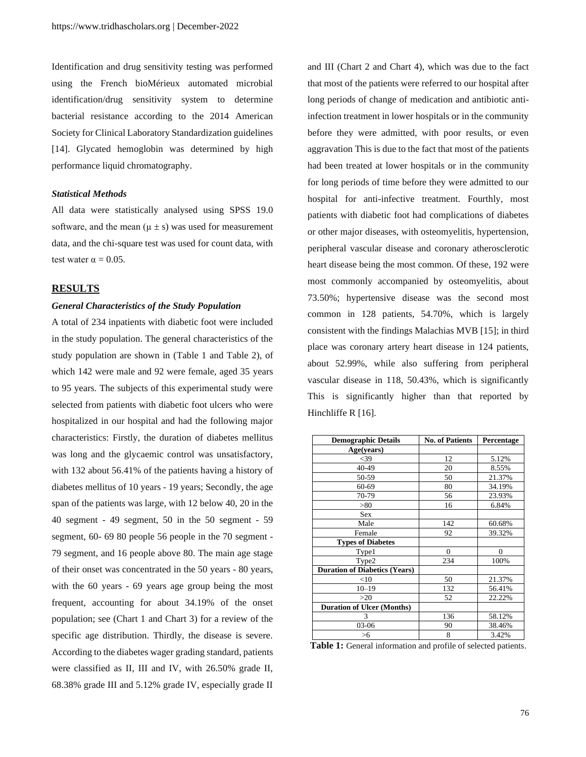Identification and drug sensitivity testing was performed using the French bioMérieux automated microbial identification/drug sensitivity system to determine bacterial resistance according to the 2014 American Society for Clinical Laboratory Standardization guidelines [14]. Glycated hemoglobin was determined by high performance liquid chromatography.

#### *Statistical Methods*

All data were statistically analysed using SPSS 19.0 software, and the mean  $(\mu \pm s)$  was used for measurement data, and the chi-square test was used for count data, with test water  $\alpha = 0.05$ .

## **RESULTS**

## *General Characteristics of the Study Population*

A total of 234 inpatients with diabetic foot were included in the study population. The general characteristics of the study population are shown in (Table 1 and Table 2), of which 142 were male and 92 were female, aged 35 years to 95 years. The subjects of this experimental study were selected from patients with diabetic foot ulcers who were hospitalized in our hospital and had the following major characteristics: Firstly, the duration of diabetes mellitus was long and the glycaemic control was unsatisfactory, with 132 about 56.41% of the patients having a history of diabetes mellitus of 10 years - 19 years; Secondly, the age span of the patients was large, with 12 below 40, 20 in the 40 segment - 49 segment, 50 in the 50 segment - 59 segment, 60- 69 80 people 56 people in the 70 segment - 79 segment, and 16 people above 80. The main age stage of their onset was concentrated in the 50 years - 80 years, with the 60 years - 69 years age group being the most frequent, accounting for about 34.19% of the onset population; see (Chart 1 and Chart 3) for a review of the specific age distribution. Thirdly, the disease is severe. According to the diabetes wager grading standard, patients were classified as II, III and IV, with 26.50% grade II, 68.38% grade III and 5.12% grade IV, especially grade II

and III (Chart 2 and Chart 4), which was due to the fact that most of the patients were referred to our hospital after long periods of change of medication and antibiotic antiinfection treatment in lower hospitals or in the community before they were admitted, with poor results, or even aggravation This is due to the fact that most of the patients had been treated at lower hospitals or in the community for long periods of time before they were admitted to our hospital for anti-infective treatment. Fourthly, most patients with diabetic foot had complications of diabetes or other major diseases, with osteomyelitis, hypertension, peripheral vascular disease and coronary atherosclerotic heart disease being the most common. Of these, 192 were most commonly accompanied by osteomyelitis, about 73.50%; hypertensive disease was the second most common in 128 patients, 54.70%, which is largely consistent with the findings Malachias MVB [15]; in third place was coronary artery heart disease in 124 patients, about 52.99%, while also suffering from peripheral vascular disease in 118, 50.43%, which is significantly This is significantly higher than that reported by Hinchliffe R [16].

| <b>Demographic Details</b>           | <b>No. of Patients</b> | Percentage   |  |  |
|--------------------------------------|------------------------|--------------|--|--|
| Age(years)                           |                        |              |  |  |
| $<$ 39                               | 12                     | 5.12%        |  |  |
| 40-49                                | 20                     | 8.55%        |  |  |
| 50-59                                | 50                     | 21.37%       |  |  |
| $60 - 69$                            | 80                     | 34.19%       |  |  |
| 70-79                                | 56                     | 23.93%       |  |  |
| > 80                                 | 16                     | 6.84%        |  |  |
| <b>Sex</b>                           |                        |              |  |  |
| Male                                 | 142                    | 60.68%       |  |  |
| Female                               | 92                     | 39.32%       |  |  |
| <b>Types of Diabetes</b>             |                        |              |  |  |
| Type1                                | $\mathbf{0}$           | $\mathbf{0}$ |  |  |
| Type2                                | 234                    | 100%         |  |  |
| <b>Duration of Diabetics (Years)</b> |                        |              |  |  |
| $<$ 10                               | 50                     | 21.37%       |  |  |
| $10 - 19$                            | 132                    | 56.41%       |  |  |
| >20                                  | 52                     | 22.22%       |  |  |
| <b>Duration of Ulcer (Months)</b>    |                        |              |  |  |
| 3                                    | 136                    | 58.12%       |  |  |
| 03-06                                | 90                     | 38.46%       |  |  |
| >6                                   | 8                      | 3.42%        |  |  |

**Table 1:** General information and profile of selected patients.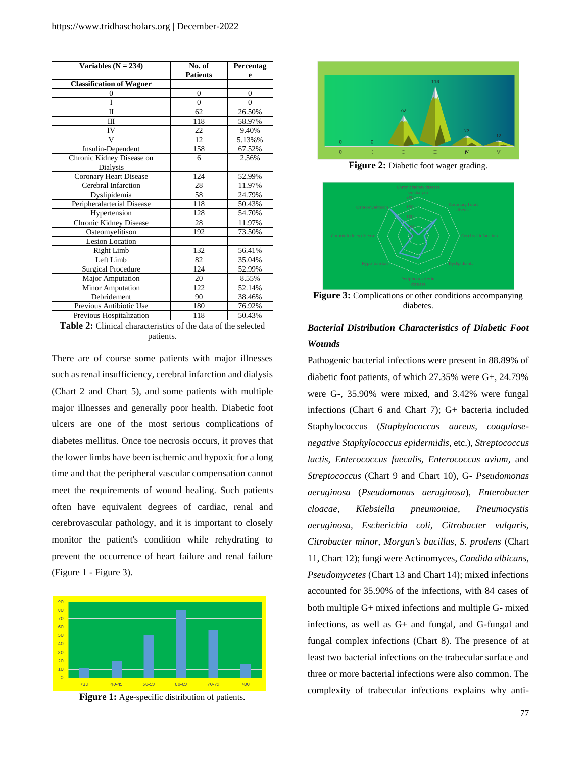| Variables $(N = 234)$           | No. of          | Percentag      |  |  |
|---------------------------------|-----------------|----------------|--|--|
|                                 | <b>Patients</b> | e              |  |  |
| <b>Classification of Wagner</b> |                 |                |  |  |
| $\overline{0}$                  | $\overline{0}$  | $\overline{0}$ |  |  |
| Ī                               | $\theta$        | $\theta$       |  |  |
| Π                               | 62              | 26.50%         |  |  |
| Ш                               | 118             | 58.97%         |  |  |
| IV                              | 22              | 9.40%          |  |  |
| V                               | 12              | 5.13%%         |  |  |
| Insulin-Dependent               | 158             | 67.52%         |  |  |
| Chronic Kidney Disease on       | 6               | 2.56%          |  |  |
| Dialysis                        |                 |                |  |  |
| Coronary Heart Disease          | 124             | 52.99%         |  |  |
| Cerebral Infarction             | 28              | 11.97%         |  |  |
| Dyslipidemia                    | 58              | 24.79%         |  |  |
| Peripheralarterial Disease      | 118             | 50.43%         |  |  |
| Hypertension                    | 128             | 54.70%         |  |  |
| Chronic Kidney Disease          | 28              | 11.97%         |  |  |
| Osteomyelitison                 | 192             | 73.50%         |  |  |
| <b>Lesion Location</b>          |                 |                |  |  |
| Right Limb                      | 132             | 56.41%         |  |  |
| Left Limb                       | 82              | 35.04%         |  |  |
| <b>Surgical Procedure</b>       | 124             | 52.99%         |  |  |
| Major Amputation                | 20              | 8.55%          |  |  |
| <b>Minor Amputation</b>         | 122             | 52.14%         |  |  |
| Debridement                     | 90              | 38.46%         |  |  |
| Previous Antibiotic Use         | 180             | 76.92%         |  |  |
| Previous Hospitalization        | 118             | 50.43%         |  |  |

**Table 2:** Clinical characteristics of the data of the selected patients.

There are of course some patients with major illnesses such as renal insufficiency, cerebral infarction and dialysis (Chart 2 and Chart 5), and some patients with multiple major illnesses and generally poor health. Diabetic foot ulcers are one of the most serious complications of diabetes mellitus. Once toe necrosis occurs, it proves that the lower limbs have been ischemic and hypoxic for a long time and that the peripheral vascular compensation cannot meet the requirements of wound healing. Such patients often have equivalent degrees of cardiac, renal and cerebrovascular pathology, and it is important to closely monitor the patient's condition while rehydrating to prevent the occurrence of heart failure and renal failure (Figure 1 - Figure 3).







**Figure 2:** Diabetic foot wager grading.



**Figure 3:** Complications or other conditions accompanying diabetes.

## *Bacterial Distribution Characteristics of Diabetic Foot Wounds*

Pathogenic bacterial infections were present in 88.89% of diabetic foot patients, of which 27.35% were G+, 24.79% were G-, 35.90% were mixed, and 3.42% were fungal infections (Chart 6 and Chart 7); G+ bacteria included Staphylococcus (*Staphylococcus aureus, coagulasenegative Staphylococcus epidermidis*, etc.), *Streptococcus lactis, Enterococcus faecalis, Enterococcus avium,* and *Streptococcus* (Chart 9 and Chart 10), G- *Pseudomonas aeruginosa* (*Pseudomonas aeruginosa*), *Enterobacter cloacae, Klebsiella pneumoniae, Pneumocystis aeruginosa, Escherichia coli, Citrobacter vulgaris, Citrobacter minor, Morgan's bacillus, S. prodens* (Chart 11, Chart 12); fungi were Actinomyces, *Candida albicans, Pseudomycetes* (Chart 13 and Chart 14); mixed infections accounted for 35.90% of the infections, with 84 cases of both multiple G+ mixed infections and multiple G- mixed infections, as well as G+ and fungal, and G-fungal and fungal complex infections (Chart 8). The presence of at least two bacterial infections on the trabecular surface and three or more bacterial infections were also common. The complexity of trabecular infections explains why anti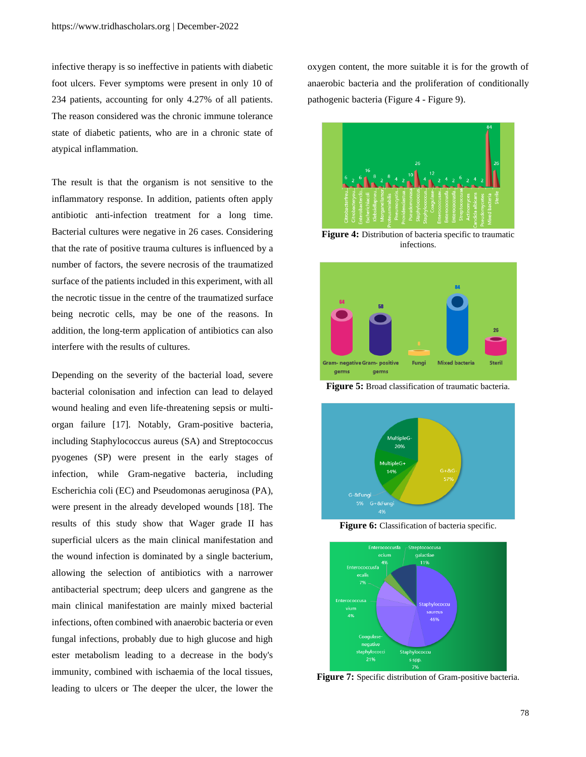infective therapy is so ineffective in patients with diabetic foot ulcers. Fever symptoms were present in only 10 of 234 patients, accounting for only 4.27% of all patients. The reason considered was the chronic immune tolerance state of diabetic patients, who are in a chronic state of atypical inflammation.

The result is that the organism is not sensitive to the inflammatory response. In addition, patients often apply antibiotic anti-infection treatment for a long time. Bacterial cultures were negative in 26 cases. Considering that the rate of positive trauma cultures is influenced by a number of factors, the severe necrosis of the traumatized surface of the patients included in this experiment, with all the necrotic tissue in the centre of the traumatized surface being necrotic cells, may be one of the reasons. In addition, the long-term application of antibiotics can also interfere with the results of cultures.

Depending on the severity of the bacterial load, severe bacterial colonisation and infection can lead to delayed wound healing and even life-threatening sepsis or multiorgan failure [17]. Notably, Gram-positive bacteria, including Staphylococcus aureus (SA) and Streptococcus pyogenes (SP) were present in the early stages of infection, while Gram-negative bacteria, including Escherichia coli (EC) and Pseudomonas aeruginosa (PA), were present in the already developed wounds [18]. The results of this study show that Wager grade II has superficial ulcers as the main clinical manifestation and the wound infection is dominated by a single bacterium, allowing the selection of antibiotics with a narrower antibacterial spectrum; deep ulcers and gangrene as the main clinical manifestation are mainly mixed bacterial infections, often combined with anaerobic bacteria or even fungal infections, probably due to high glucose and high ester metabolism leading to a decrease in the body's immunity, combined with ischaemia of the local tissues, leading to ulcers or The deeper the ulcer, the lower the

oxygen content, the more suitable it is for the growth of anaerobic bacteria and the proliferation of conditionally pathogenic bacteria (Figure 4 - Figure 9).



**Figure 4:** Distribution of bacteria specific to traumatic infections.



**Figure 5:** Broad classification of traumatic bacteria.



**Figure 6:** Classification of bacteria specific.



**Figure 7:** Specific distribution of Gram-positive bacteria.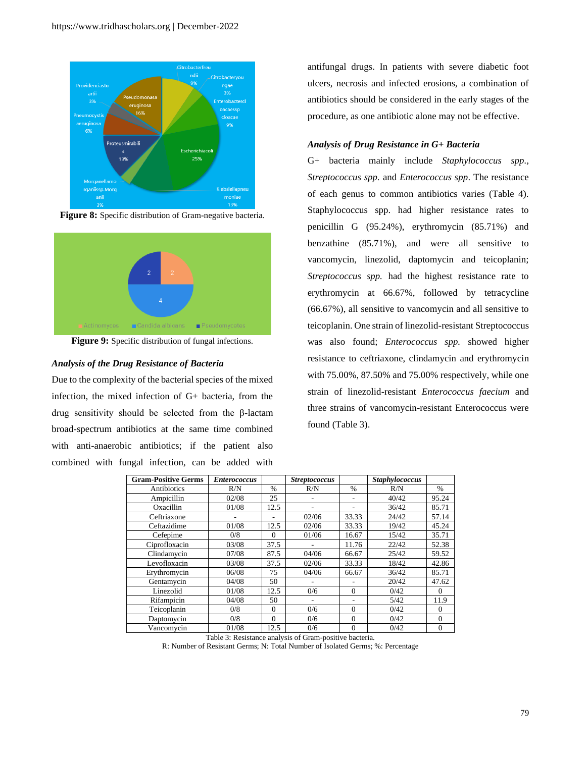

**Figure 8:** Specific distribution of Gram-negative bacteria.



**Figure 9:** Specific distribution of fungal infections.

## *Analysis of the Drug Resistance of Bacteria*

Due to the complexity of the bacterial species of the mixed infection, the mixed infection of G+ bacteria, from the drug sensitivity should be selected from the β-lactam broad-spectrum antibiotics at the same time combined with anti-anaerobic antibiotics; if the patient also combined with fungal infection, can be added with

antifungal drugs. In patients with severe diabetic foot ulcers, necrosis and infected erosions, a combination of antibiotics should be considered in the early stages of the procedure, as one antibiotic alone may not be effective.

## *Analysis of Drug Resistance in G+ Bacteria*

G+ bacteria mainly include *Staphylococcus spp., Streptococcus spp.* and *Enterococcus spp*. The resistance of each genus to common antibiotics varies (Table 4). Staphylococcus spp. had higher resistance rates to penicillin G (95.24%), erythromycin (85.71%) and benzathine (85.71%), and were all sensitive to vancomycin, linezolid, daptomycin and teicoplanin; *Streptococcus spp.* had the highest resistance rate to erythromycin at 66.67%, followed by tetracycline (66.67%), all sensitive to vancomycin and all sensitive to teicoplanin. One strain of linezolid-resistant Streptococcus was also found; *Enterococcus spp.* showed higher resistance to ceftriaxone, clindamycin and erythromycin with 75.00%, 87.50% and 75.00% respectively, while one strain of linezolid-resistant *Enterococcus faecium* and three strains of vancomycin-resistant Enterococcus were found (Table 3).

| <b>Gram-Positive Germs</b> | <b>Enterococcus</b> |               | <b>Streptococcus</b> |               | <b>Staphylococcus</b> |          |
|----------------------------|---------------------|---------------|----------------------|---------------|-----------------------|----------|
| Antibiotics                | R/N                 | $\frac{0}{0}$ | R/N                  | $\frac{0}{0}$ | R/N                   | $\%$     |
| Ampicillin                 | 02/08               | 25            | ٠                    | ۰             | 40/42                 | 95.24    |
| Oxacillin                  | 01/08               | 12.5          | ۰                    |               | 36/42                 | 85.71    |
| Ceftriaxone                |                     | ۰             | 02/06                | 33.33         | 24/42                 | 57.14    |
| Ceftazidime                | 01/08               | 12.5          | 02/06                | 33.33         | 19/42                 | 45.24    |
| Cefepime                   | 0/8                 | $\Omega$      | 01/06                | 16.67         | 15/42                 | 35.71    |
| Ciprofloxacin              | 03/08               | 37.5          | ٠                    | 11.76         | 22/42                 | 52.38    |
| Clindamycin                | 07/08               | 87.5          | 04/06                | 66.67         | 25/42                 | 59.52    |
| Levofloxacin               | 03/08               | 37.5          | 02/06                | 33.33         | 18/42                 | 42.86    |
| Erythromycin               | 06/08               | 75            | 04/06                | 66.67         | 36/42                 | 85.71    |
| Gentamycin                 | 04/08               | 50            |                      |               | 20/42                 | 47.62    |
| Linezolid                  | 01/08               | 12.5          | 0/6                  | $\theta$      | 0/42                  | $\Omega$ |
| Rifampicin                 | 04/08               | 50            |                      | ۰             | 5/42                  | 11.9     |
| Teicoplanin                | 0/8                 | $\Omega$      | 0/6                  | $\Omega$      | 0/42                  | $\Omega$ |
| Daptomycin                 | 0/8                 | $\Omega$      | 0/6                  | $\Omega$      | 0/42                  | $\Omega$ |
| Vancomycin                 | 01/08               | 12.5          | 0/6                  | $\Omega$      | 0/42                  | $\Omega$ |

Table 3: Resistance analysis of Gram-positive bacteria.

R: Number of Resistant Germs; N: Total Number of Isolated Germs; %: Percentage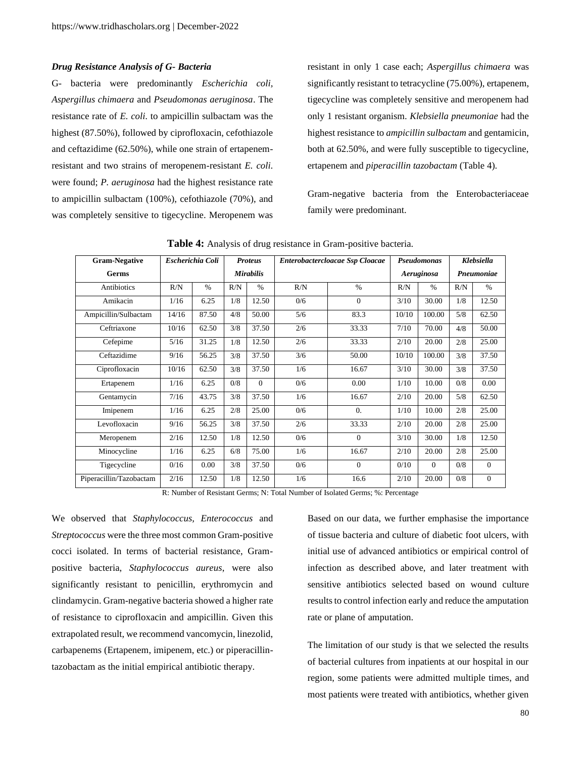#### *Drug Resistance Analysis of G- Bacteria*

G- bacteria were predominantly *Escherichia coli, Aspergillus chimaera* and *Pseudomonas aeruginosa*. The resistance rate of *E. coli.* to ampicillin sulbactam was the highest (87.50%), followed by ciprofloxacin, cefothiazole and ceftazidime (62.50%), while one strain of ertapenemresistant and two strains of meropenem-resistant *E. coli.* were found; *P. aeruginosa* had the highest resistance rate to ampicillin sulbactam (100%), cefothiazole (70%), and was completely sensitive to tigecycline. Meropenem was

resistant in only 1 case each; *Aspergillus chimaera* was significantly resistant to tetracycline (75.00%), ertapenem, tigecycline was completely sensitive and meropenem had only 1 resistant organism. *Klebsiella pneumoniae* had the highest resistance to *ampicillin sulbactam* and gentamicin, both at 62.50%, and were fully susceptible to tigecycline, ertapenem and *piperacillin tazobactam* (Table 4).

Gram-negative bacteria from the Enterobacteriaceae family were predominant.

| <b>Gram-Negative</b>    | Escherichia Coli |       |     | <b>Proteus</b>   | Enterobactercloacae Ssp Cloacae |                  | <b>Pseudomonas</b> |               | Klebsiella |                  |
|-------------------------|------------------|-------|-----|------------------|---------------------------------|------------------|--------------------|---------------|------------|------------------|
| Germs                   |                  |       |     | <b>Mirabilis</b> |                                 |                  | Aeruginosa         |               | Pneumoniae |                  |
| Antibiotics             | R/N              | $\%$  | R/N | $\%$             | R/N                             | $\frac{0}{0}$    | R/N                | $\frac{0}{6}$ | R/N        | $\frac{0}{0}$    |
| Amikacin                | 1/16             | 6.25  | 1/8 | 12.50            | 0/6                             | $\Omega$         | 3/10               | 30.00         | 1/8        | 12.50            |
| Ampicillin/Sulbactam    | 14/16            | 87.50 | 4/8 | 50.00            | 5/6                             | 83.3             | 10/10              | 100.00        | 5/8        | 62.50            |
| Ceftriaxone             | 10/16            | 62.50 | 3/8 | 37.50            | 2/6                             | 33.33            | 7/10               | 70.00         | 4/8        | 50.00            |
| Cefepime                | 5/16             | 31.25 | 1/8 | 12.50            | 2/6                             | 33.33            | 2/10               | 20.00         | 2/8        | 25.00            |
| Ceftazidime             | 9/16             | 56.25 | 3/8 | 37.50            | 3/6                             | 50.00            | 10/10              | 100.00        | 3/8        | 37.50            |
| Ciprofloxacin           | 10/16            | 62.50 | 3/8 | 37.50            | 1/6                             | 16.67            | 3/10               | 30.00         | 3/8        | 37.50            |
| Ertapenem               | 1/16             | 6.25  | 0/8 | $\Omega$         | 0/6                             | 0.00             | 1/10               | 10.00         | 0/8        | 0.00             |
| Gentamycin              | 7/16             | 43.75 | 3/8 | 37.50            | 1/6                             | 16.67            | 2/10               | 20.00         | 5/8        | 62.50            |
| Imipenem                | 1/16             | 6.25  | 2/8 | 25.00            | 0/6                             | $\overline{0}$ . | 1/10               | 10.00         | 2/8        | 25.00            |
| Levofloxacin            | 9/16             | 56.25 | 3/8 | 37.50            | 2/6                             | 33.33            | 2/10               | 20.00         | 2/8        | 25.00            |
| Meropenem               | 2/16             | 12.50 | 1/8 | 12.50            | 0/6                             | $\Omega$         | 3/10               | 30.00         | 1/8        | 12.50            |
| Minocycline             | 1/16             | 6.25  | 6/8 | 75.00            | 1/6                             | 16.67            | 2/10               | 20.00         | 2/8        | 25.00            |
| Tigecycline             | 0/16             | 0.00  | 3/8 | 37.50            | 0/6                             | $\Omega$         | 0/10               | $\Omega$      | 0/8        | $\theta$         |
| Piperacillin/Tazobactam | 2/16             | 12.50 | 1/8 | 12.50            | 1/6                             | 16.6             | 2/10               | 20.00         | 0/8        | $\boldsymbol{0}$ |

**Table 4:** Analysis of drug resistance in Gram-positive bacteria.

R: Number of Resistant Germs; N: Total Number of Isolated Germs; %: Percentage

We observed that *Staphylococcus, Enterococcus* and *Streptococcus* were the three most common Gram-positive cocci isolated. In terms of bacterial resistance, Grampositive bacteria, *Staphylococcus aureus*, were also significantly resistant to penicillin, erythromycin and clindamycin. Gram-negative bacteria showed a higher rate of resistance to ciprofloxacin and ampicillin. Given this extrapolated result, we recommend vancomycin, linezolid, carbapenems (Ertapenem, imipenem, etc.) or piperacillintazobactam as the initial empirical antibiotic therapy.

Based on our data, we further emphasise the importance of tissue bacteria and culture of diabetic foot ulcers, with initial use of advanced antibiotics or empirical control of infection as described above, and later treatment with sensitive antibiotics selected based on wound culture results to control infection early and reduce the amputation rate or plane of amputation.

The limitation of our study is that we selected the results of bacterial cultures from inpatients at our hospital in our region, some patients were admitted multiple times, and most patients were treated with antibiotics, whether given